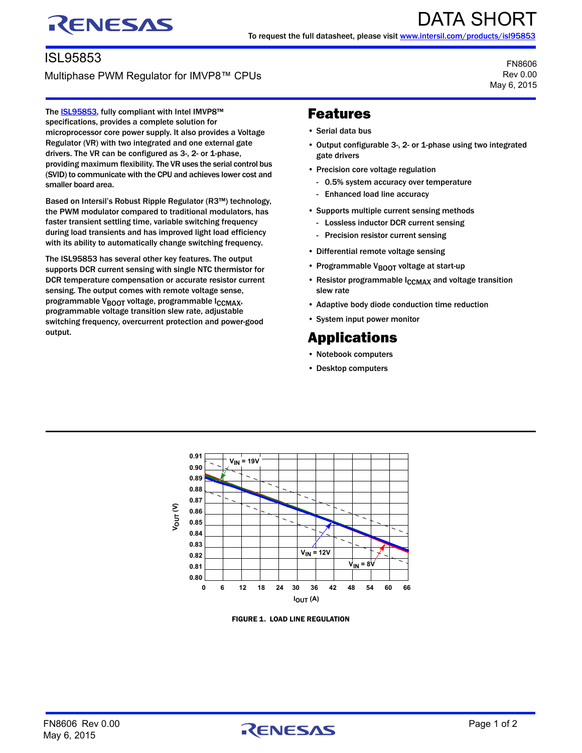## RENESAS

## ISL95853

Multiphase PWM Regulator for IMVP8™ CPUs

FN8606 Rev 0.00 May 6, 2015

The **ISL95853**, fully compliant with Intel IMVP8™ specifications, provides a complete solution for microprocessor core power supply. It also provides a Voltage Regulator (VR) with two integrated and one external gate drivers. The VR can be configured as 3-, 2- or 1-phase, providing maximum flexibility. The VR uses the serial control bus (SVID) to communicate with the CPU and achieves lower cost and smaller board area.

Based on Intersil's Robust Ripple Regulator (R3™) technology, the PWM modulator compared to traditional modulators, has faster transient settling time, variable switching frequency during load transients and has improved light load efficiency with its ability to automatically change switching frequency.

The ISL95853 has several other key features. The output supports DCR current sensing with single NTC thermistor for DCR temperature compensation or accurate resistor current sensing. The output comes with remote voltage sense, programmable V<sub>BOOT</sub> voltage, programmable I<sub>CCMAX</sub>, programmable voltage transition slew rate, adjustable switching frequency, overcurrent protection and power-good output.

## Features

- Serial data bus
- Output configurable 3-, 2- or 1-phase using two integrated gate drivers
- Precision core voltage regulation
	- 0.5% system accuracy over temperature
	- Enhanced load line accuracy
- Supports multiple current sensing methods
	- Lossless inductor DCR current sensing
	- Precision resistor current sensing
- Differential remote voltage sensing
- Programmable V<sub>BOOT</sub> voltage at start-up
- Resistor programmable I<sub>CCMAX</sub> and voltage transition slew rate
- Adaptive body diode conduction time reduction
- System input power monitor

## Applications

- Notebook computers
- Desktop computers



FIGURE 1. LOAD LINE REGULATION